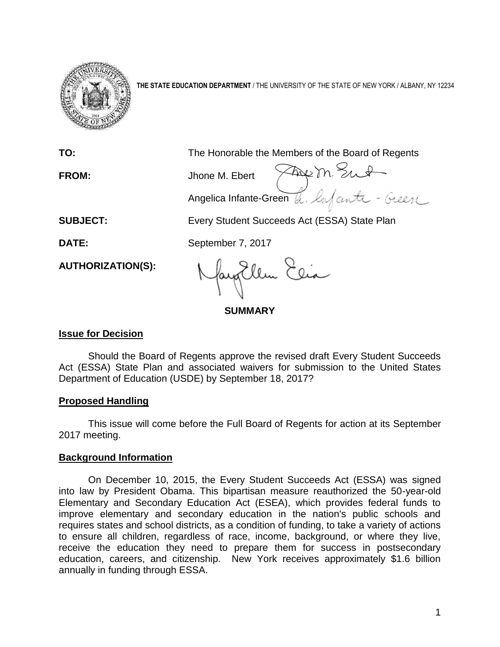

**THE STATE EDUCATION DEPARTMENT** / THE UNIVERSITY OF THE STATE OF NEW YORK / ALBANY, NY 12234

**TO:** The Honorable the Members of the Board of Regents **FROM:** Jhone M. Ebert Angelica Infante-Green **SUBJECT:** Every Student Succeeds Act (ESSA) State Plan **DATE:** September 7, 2017 fangEllen Elia **AUTHORIZATION(S):**

**SUMMARY**

# **Issue for Decision**

Should the Board of Regents approve the revised draft Every Student Succeeds Act (ESSA) State Plan and associated waivers for submission to the United States Department of Education (USDE) by September 18, 2017?

# **Proposed Handling**

This issue will come before the Full Board of Regents for action at its September 2017 meeting.

# **Background Information**

On December 10, 2015, the Every Student Succeeds Act (ESSA) was signed into law by President Obama. This bipartisan measure reauthorized the 50-year-old Elementary and Secondary Education Act (ESEA), which provides federal funds to improve elementary and secondary education in the nation's public schools and requires states and school districts, as a condition of funding, to take a variety of actions to ensure all children, regardless of race, income, background, or where they live, receive the education they need to prepare them for success in postsecondary education, careers, and citizenship. New York receives approximately \$1.6 billion annually in funding through ESSA.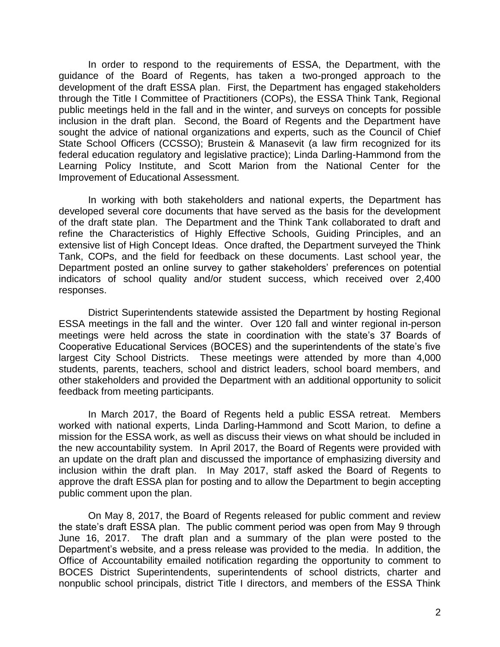In order to respond to the requirements of ESSA, the Department, with the guidance of the Board of Regents, has taken a two-pronged approach to the development of the draft ESSA plan. First, the Department has engaged stakeholders through the Title I Committee of Practitioners (COPs), the ESSA Think Tank, Regional public meetings held in the fall and in the winter, and surveys on concepts for possible inclusion in the draft plan. Second, the Board of Regents and the Department have sought the advice of national organizations and experts, such as the Council of Chief State School Officers (CCSSO); Brustein & Manasevit (a law firm recognized for its federal education regulatory and legislative practice); Linda Darling-Hammond from the Learning Policy Institute, and Scott Marion from the National Center for the Improvement of Educational Assessment.

In working with both stakeholders and national experts, the Department has developed several core documents that have served as the basis for the development of the draft state plan. The Department and the Think Tank collaborated to draft and refine the Characteristics of Highly Effective Schools, Guiding Principles, and an extensive list of High Concept Ideas. Once drafted, the Department surveyed the Think Tank, COPs, and the field for feedback on these documents. Last school year, the Department posted an online survey to gather stakeholders' preferences on potential indicators of school quality and/or student success, which received over 2,400 responses.

District Superintendents statewide assisted the Department by hosting Regional ESSA meetings in the fall and the winter. Over 120 fall and winter regional in-person meetings were held across the state in coordination with the state's 37 Boards of Cooperative Educational Services (BOCES) and the superintendents of the state's five largest City School Districts. These meetings were attended by more than 4,000 students, parents, teachers, school and district leaders, school board members, and other stakeholders and provided the Department with an additional opportunity to solicit feedback from meeting participants.

In March 2017, the Board of Regents held a public ESSA retreat. Members worked with national experts, Linda Darling-Hammond and Scott Marion, to define a mission for the ESSA work, as well as discuss their views on what should be included in the new accountability system. In April 2017, the Board of Regents were provided with an update on the draft plan and discussed the importance of emphasizing diversity and inclusion within the draft plan. In May 2017, staff asked the Board of Regents to approve the draft ESSA plan for posting and to allow the Department to begin accepting public comment upon the plan.

On May 8, 2017, the Board of Regents released for public comment and review the state's draft ESSA plan. The public comment period was open from May 9 through June 16, 2017. The draft plan and a summary of the plan were posted to the Department's website, and a press release was provided to the media. In addition, the Office of Accountability emailed notification regarding the opportunity to comment to BOCES District Superintendents, superintendents of school districts, charter and nonpublic school principals, district Title I directors, and members of the ESSA Think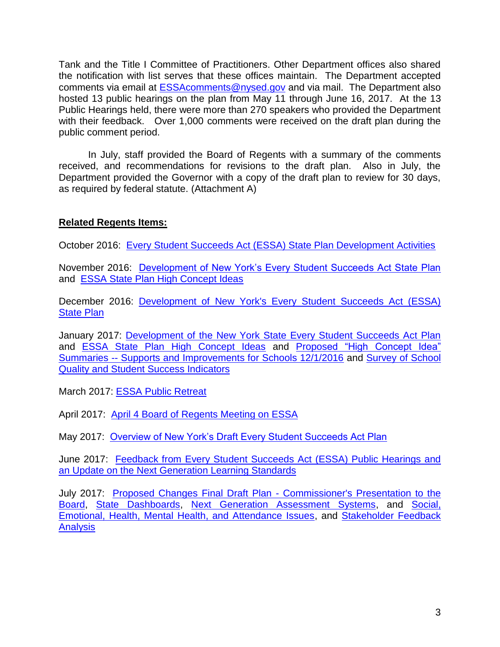Tank and the Title I Committee of Practitioners. Other Department offices also shared the notification with list serves that these offices maintain. The Department accepted comments via email at [ESSAcomments@nysed.gov](mailto:ESSAcomments@nysed.gov) and via mail. The Department also hosted 13 public hearings on the plan from May 11 through June 16, 2017. At the 13 Public Hearings held, there were more than 270 speakers who provided the Department with their feedback. Over 1,000 comments were received on the draft plan during the public comment period.

In July, staff provided the Board of Regents with a summary of the comments received, and recommendations for revisions to the draft plan. Also in July, the Department provided the Governor with a copy of the draft plan to review for 30 days, as required by federal statute. (Attachment A)

# **Related Regents Items:**

October 2016: [Every Student Succeeds Act \(ESSA\) State Plan Development Activities](http://www.regents.nysed.gov/common/regents/files/ESSA.pdf)

November 2016: [Development of New York's Every Student Succeeds Act State Plan](http://www.regents.nysed.gov/common/regents/files/Full%20Board%20Monday%20am%20-%20ESSA.pdf) and [ESSA State Plan High Concept Ideas](http://www.regents.nysed.gov/common/regents/files/Full%20Board%20Monday%20am%20-%20ESSA%20State%20Plan%20High%20Concept%20Ideas.pdf)

December 2016: [Development of New York's Every Student Succeeds Act \(ESSA\)](http://www.regents.nysed.gov/common/regents/files/FB%20Monday%20-%20ESSA%20Commissioner.pdf)  [State Plan](http://www.regents.nysed.gov/common/regents/files/FB%20Monday%20-%20ESSA%20Commissioner.pdf)

January 2017: [Development of the New York State Every Student Succeeds Act Plan](http://www.regents.nysed.gov/common/regents/files/FB%20Monday%20ESSA%20Slide%20Deck.pdf) and [ESSA State Plan High Concept Ideas](http://www.regents.nysed.gov/common/regents/files/FB%20Monday%20-%20ESSA%20State%20Plan%20High%20Concept%20Ideas.pdf) and [Proposed "High Concept Idea"](http://www.regents.nysed.gov/common/regents/files/FB%20Monday%20-%20Proposed%20%E2%80%9CHigh%20Concept%20Idea%E2%80%9D%20Summaries%2C%2012.01.16.pdf)  Summaries -- [Supports and Improvements for Schools 12/1/2016](http://www.regents.nysed.gov/common/regents/files/FB%20Monday%20-%20Proposed%20%E2%80%9CHigh%20Concept%20Idea%E2%80%9D%20Summaries%2C%2012.01.16.pdf) and [Survey of School](http://www.regents.nysed.gov/common/regents/files/FB%20Monday%20-%20Survey%20of%20School%20Quality.pdf)  [Quality and Student Success Indicators](http://www.regents.nysed.gov/common/regents/files/FB%20Monday%20-%20Survey%20of%20School%20Quality.pdf)

March 2017: [ESSA Public Retreat](http://www.regents.nysed.gov/meetings/2017/2017-03/meeting-board-regents-public-retreat)

April 2017: [April 4 Board of Regents Meeting on ESSA](http://www.regents.nysed.gov/node/8643)

May 2017: [Overview of New York's Draft Every Student Succeeds Act Plan](http://www.regents.nysed.gov/meetings/2017/2017-05/meeting-board-regents)

June 2017: [Feedback from Every Student Succeeds Act \(ESSA\) Public Hearings and](http://www.regents.nysed.gov/node/8688)  [an Update on the Next Generation Learning Standards](http://www.regents.nysed.gov/node/8688)

July 2017: [Proposed Changes Final Draft Plan -](http://www.p12.nysed.gov/accountability/essa/documents/regents-july-2017-commissioner-to-bor-presentation.pdf) Commissioner's Presentation to the [Board,](http://www.p12.nysed.gov/accountability/essa/documents/regents-july-2017-commissioner-to-bor-presentation.pdf) [State Dashboards,](http://www.p12.nysed.gov/accountability/essa/documents/regents-july-2017-constructing-state-dashboard-presentation.pdf) [Next Generation Assessment Systems,](http://www.p12.nysed.gov/accountability/essa/documents/regents-july-2017-next-generation-assessments-presentation.pdf) and [Social,](http://www.p12.nysed.gov/accountability/essa/documents/regents-july-2017-socio-emotional-presentation.pdf)  [Emotional, Health, Mental Health, and Attendance Issues,](http://www.p12.nysed.gov/accountability/essa/documents/regents-july-2017-socio-emotional-presentation.pdf) and [Stakeholder Feedback](http://www.p12.nysed.gov/accountability/essa/documents/regents-july-2017-essa-stakeholder-feedback-analysis-presentation.pdf)  **[Analysis](http://www.p12.nysed.gov/accountability/essa/documents/regents-july-2017-essa-stakeholder-feedback-analysis-presentation.pdf)**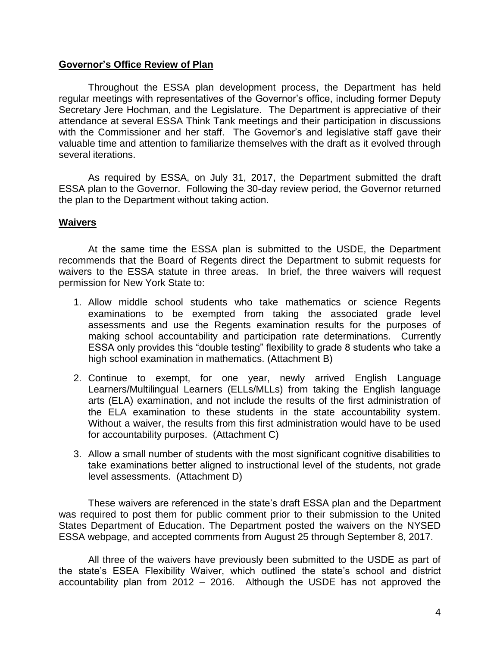## **Governor's Office Review of Plan**

Throughout the ESSA plan development process, the Department has held regular meetings with representatives of the Governor's office, including former Deputy Secretary Jere Hochman, and the Legislature. The Department is appreciative of their attendance at several ESSA Think Tank meetings and their participation in discussions with the Commissioner and her staff. The Governor's and legislative staff gave their valuable time and attention to familiarize themselves with the draft as it evolved through several iterations.

As required by ESSA, on July 31, 2017, the Department submitted the draft ESSA plan to the Governor. Following the 30-day review period, the Governor returned the plan to the Department without taking action.

### **Waivers**

At the same time the ESSA plan is submitted to the USDE, the Department recommends that the Board of Regents direct the Department to submit requests for waivers to the ESSA statute in three areas. In brief, the three waivers will request permission for New York State to:

- 1. Allow middle school students who take mathematics or science Regents examinations to be exempted from taking the associated grade level assessments and use the Regents examination results for the purposes of making school accountability and participation rate determinations. Currently ESSA only provides this "double testing" flexibility to grade 8 students who take a high school examination in mathematics. (Attachment B)
- 2. Continue to exempt, for one year, newly arrived English Language Learners/Multilingual Learners (ELLs/MLLs) from taking the English language arts (ELA) examination, and not include the results of the first administration of the ELA examination to these students in the state accountability system. Without a waiver, the results from this first administration would have to be used for accountability purposes. (Attachment C)
- 3. Allow a small number of students with the most significant cognitive disabilities to take examinations better aligned to instructional level of the students, not grade level assessments. (Attachment D)

These waivers are referenced in the state's draft ESSA plan and the Department was required to post them for public comment prior to their submission to the United States Department of Education. The Department posted the waivers on the NYSED ESSA webpage, and accepted comments from August 25 through September 8, 2017.

All three of the waivers have previously been submitted to the USDE as part of the state's ESEA Flexibility Waiver, which outlined the state's school and district accountability plan from 2012 – 2016. Although the USDE has not approved the